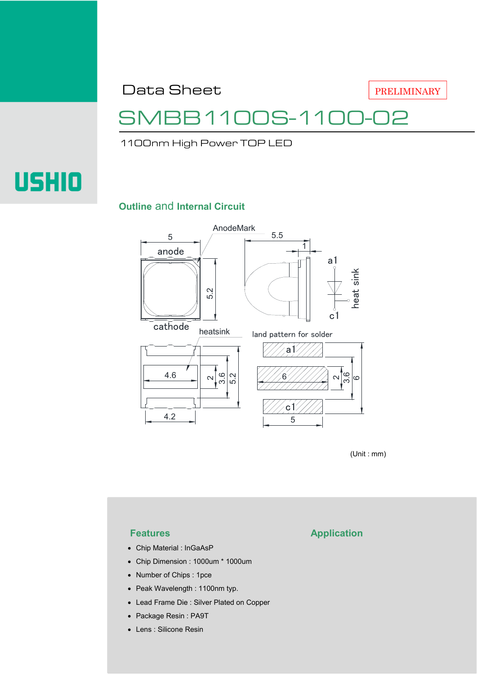Data Sheet

PRELIMINARY

## SMBB1100S-1100-02

1100nm High Power TOP LED

# **USHIO**

#### **Outline** and **Internal Circuit**



(Unit : mm)

- Chip Material : InGaAsP
- Chip Dimension : 1000um \* 1000um
- Number of Chips : 1pce
- Peak Wavelength : 1100nm typ.
- Lead Frame Die : Silver Plated on Copper
- Package Resin : PA9T
- Lens : Silicone Resin

### **Features Application**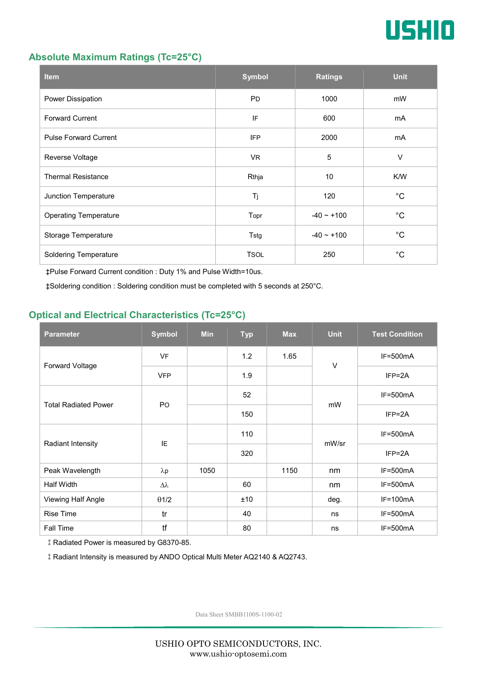

#### **Absolute Maximum Ratings (Tc=25°C)**

| <b>Item</b>                  | <b>Symbol</b> | <b>Ratings</b>  | <b>Unit</b> |
|------------------------------|---------------|-----------------|-------------|
| Power Dissipation            | <b>PD</b>     | 1000            | mW          |
| <b>Forward Current</b>       | IF            | 600             |             |
| <b>Pulse Forward Current</b> | <b>IFP</b>    | 2000            | mA          |
| Reverse Voltage              | VR.           | $\sqrt{5}$      | $\vee$      |
| <b>Thermal Resistance</b>    | Rthja         | 10              | K/W         |
| Junction Temperature         | Tj            | 120             | $^{\circ}C$ |
| <b>Operating Temperature</b> | Topr          | $-40 \sim +100$ | $^{\circ}C$ |
| Storage Temperature          | Tstg          | $-40 - +100$    | $^{\circ}C$ |
| <b>Soldering Temperature</b> | <b>TSOL</b>   | 250             | $^{\circ}C$ |

‡Pulse Forward Current condition : Duty 1% and Pulse Width=10us.

‡Soldering condition : Soldering condition must be completed with 5 seconds at 250°C.

#### **Optical and Electrical Characteristics (Tc=25°C)**

| <b>Parameter</b>            | <b>Symbol</b>    | <b>Min</b> | <b>Typ</b> | <b>Max</b> | <b>Unit</b> | <b>Test Condition</b> |
|-----------------------------|------------------|------------|------------|------------|-------------|-----------------------|
| Forward Voltage             | <b>VF</b>        |            | 1.2        | 1.65       | $\vee$      | $IF=500mA$            |
|                             | <b>VFP</b>       |            | 1.9        |            |             | $IFP = 2A$            |
| <b>Total Radiated Power</b> | P <sub>O</sub>   |            | 52         |            | mW          | $IF=500mA$            |
|                             |                  |            | 150        |            |             | $IFP = 2A$            |
| Radiant Intensity           | IE               |            | 110        |            | mW/sr       | $IF=500mA$            |
|                             |                  |            | 320        |            |             | $IFP = 2A$            |
| Peak Wavelength             | $\lambda$ p      | 1050       |            | 1150       | nm          | $IF=500mA$            |
| <b>Half Width</b>           | $\Delta \lambda$ |            | 60         |            | nm          | $IF=500mA$            |
| Viewing Half Angle          | $\theta$ 1/2     |            | ±10        |            | deg.        | $IF=100mA$            |
| <b>Rise Time</b>            | tr               |            | 40         |            | ns          | $IF=500mA$            |
| Fall Time                   | tf               |            | 80         |            | ns          | $IF=500mA$            |

‡Radiated Power is measured by G8370-85.

‡Radiant Intensity is measured by ANDO Optical Multi Meter AQ2140 & AQ2743.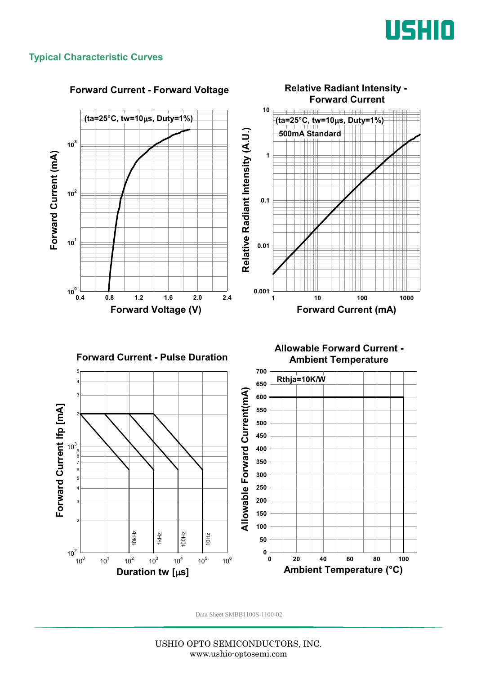

#### **Typical Characteristic Curves**



#### **Forward Current - Forward Voltage**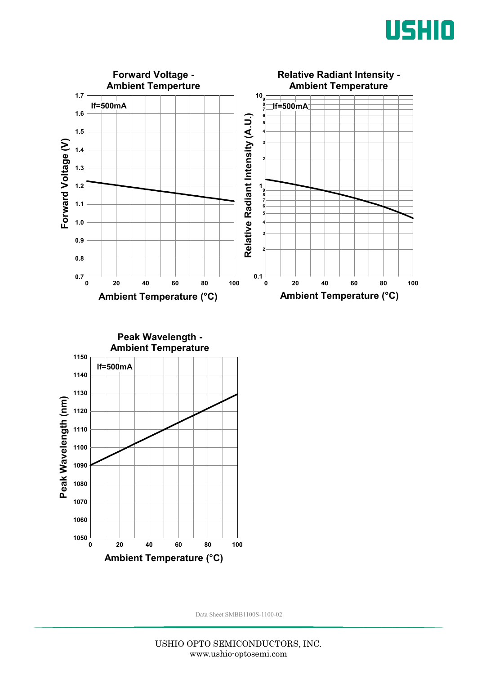



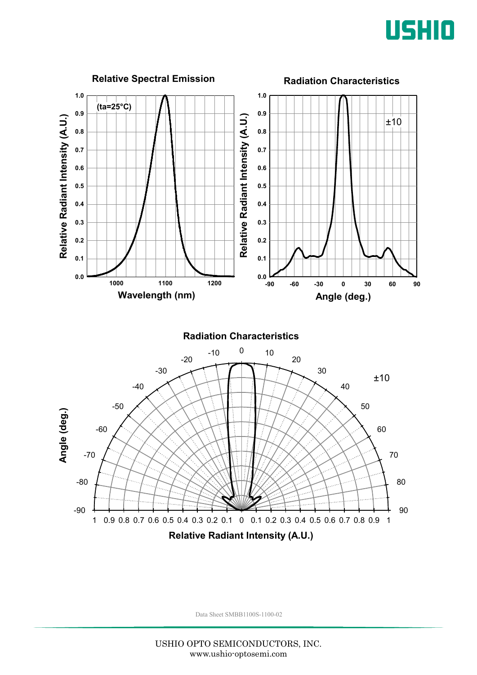

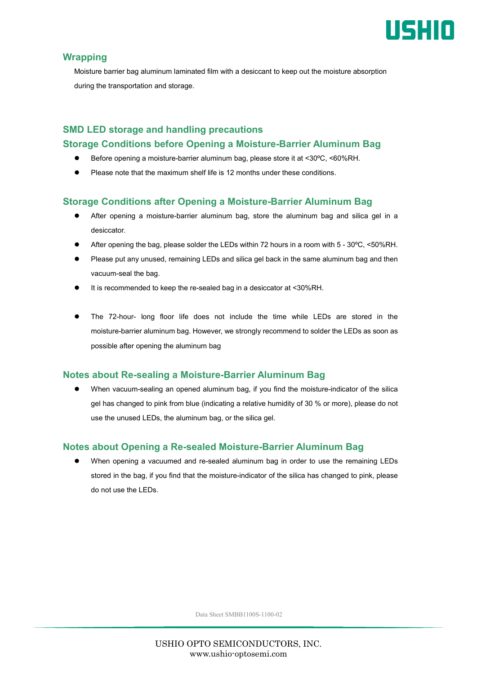

#### **Wrapping**

Moisture barrier bag aluminum laminated film with a desiccant to keep out the moisture absorption during the transportation and storage.

#### **SMD LED storage and handling precautions Storage Conditions before Opening a Moisture-Barrier Aluminum Bag**

- Before opening a moisture-barrier aluminum bag, please store it at <30ºC, <60%RH.
- Please note that the maximum shelf life is 12 months under these conditions.

#### **Storage Conditions after Opening a Moisture-Barrier Aluminum Bag**

- After opening a moisture-barrier aluminum bag, store the aluminum bag and silica gel in a desiccator.
- After opening the bag, please solder the LEDs within 72 hours in a room with 5 30ºC, <50%RH.
- Please put any unused, remaining LEDs and silica gel back in the same aluminum bag and then vacuum-seal the bag.
- It is recommended to keep the re-sealed bag in a desiccator at <30%RH.
- The 72-hour- long floor life does not include the time while LEDs are stored in the moisture-barrier aluminum bag. However, we strongly recommend to solder the LEDs as soon as possible after opening the aluminum bag

#### **Notes about Re-sealing a Moisture-Barrier Aluminum Bag**

 When vacuum-sealing an opened aluminum bag, if you find the moisture-indicator of the silica gel has changed to pink from blue (indicating a relative humidity of 30 % or more), please do not use the unused LEDs, the aluminum bag, or the silica gel.

#### **Notes about Opening a Re-sealed Moisture-Barrier Aluminum Bag**

 When opening a vacuumed and re-sealed aluminum bag in order to use the remaining LEDs stored in the bag, if you find that the moisture-indicator of the silica has changed to pink, please do not use the LEDs.